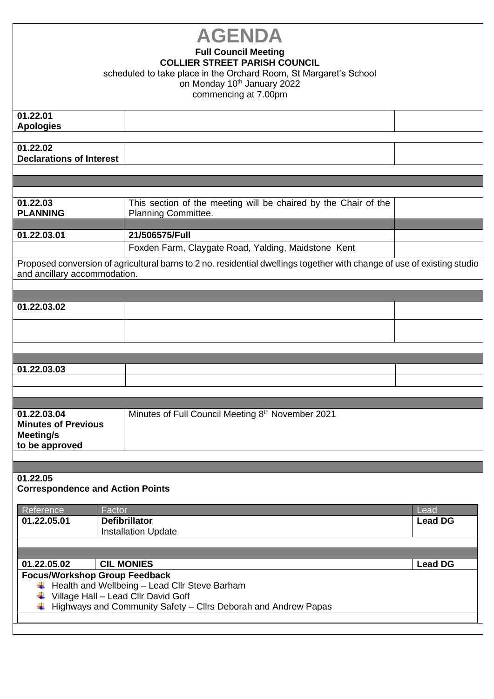| <b>AGENDA</b><br><b>Full Council Meeting</b><br><b>COLLIER STREET PARISH COUNCIL</b><br>scheduled to take place in the Orchard Room, St Margaret's School<br>on Monday 10 <sup>th</sup> January 2022<br>commencing at 7.00pm |                                                                                        |                        |  |  |
|------------------------------------------------------------------------------------------------------------------------------------------------------------------------------------------------------------------------------|----------------------------------------------------------------------------------------|------------------------|--|--|
| 01.22.01<br><b>Apologies</b>                                                                                                                                                                                                 |                                                                                        |                        |  |  |
| 01.22.02<br><b>Declarations of Interest</b>                                                                                                                                                                                  |                                                                                        |                        |  |  |
|                                                                                                                                                                                                                              |                                                                                        |                        |  |  |
| 01.22.03<br><b>PLANNING</b>                                                                                                                                                                                                  | This section of the meeting will be chaired by the Chair of the<br>Planning Committee. |                        |  |  |
| 01.22.03.01                                                                                                                                                                                                                  | 21/506575/Full                                                                         |                        |  |  |
|                                                                                                                                                                                                                              | Foxden Farm, Claygate Road, Yalding, Maidstone Kent                                    |                        |  |  |
| Proposed conversion of agricultural barns to 2 no. residential dwellings together with change of use of existing studio<br>and ancillary accommodation.                                                                      |                                                                                        |                        |  |  |
|                                                                                                                                                                                                                              |                                                                                        |                        |  |  |
| 01.22.03.02                                                                                                                                                                                                                  |                                                                                        |                        |  |  |
|                                                                                                                                                                                                                              |                                                                                        |                        |  |  |
|                                                                                                                                                                                                                              |                                                                                        |                        |  |  |
|                                                                                                                                                                                                                              |                                                                                        |                        |  |  |
| 01.22.03.03                                                                                                                                                                                                                  |                                                                                        |                        |  |  |
|                                                                                                                                                                                                                              |                                                                                        |                        |  |  |
|                                                                                                                                                                                                                              |                                                                                        |                        |  |  |
| 01.22.03.04<br><b>Minutes of Previous</b><br>Meeting/s<br>to be approved                                                                                                                                                     | Minutes of Full Council Meeting 8th November 2021                                      |                        |  |  |
|                                                                                                                                                                                                                              |                                                                                        |                        |  |  |
| 01.22.05<br><b>Correspondence and Action Points</b>                                                                                                                                                                          |                                                                                        |                        |  |  |
| Reference<br>Factor<br>01.22.05.01                                                                                                                                                                                           | <b>Defibrillator</b><br><b>Installation Update</b>                                     | Lead<br><b>Lead DG</b> |  |  |
| <b>CIL MONIES</b><br>01.22.05.02<br><b>Lead DG</b>                                                                                                                                                                           |                                                                                        |                        |  |  |
| <b>Focus/Workshop Group Feedback</b><br>Health and Wellbeing - Lead Cllr Steve Barham<br>₩<br>Village Hall - Lead Cllr David Goff<br>Highways and Community Safety - Cllrs Deborah and Andrew Papas                          |                                                                                        |                        |  |  |
|                                                                                                                                                                                                                              |                                                                                        |                        |  |  |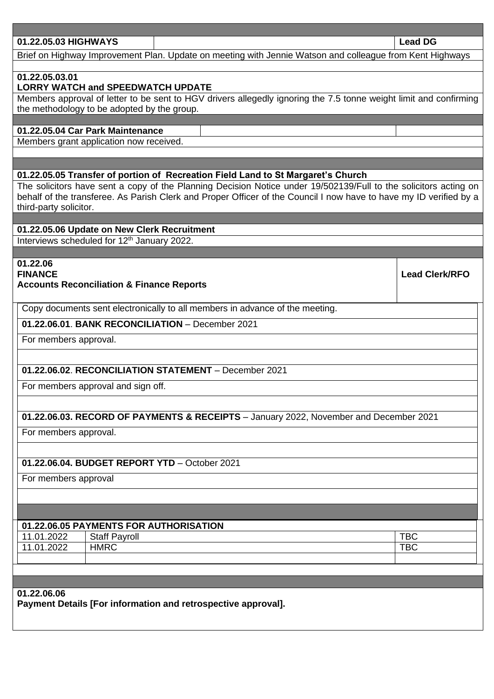| 01.22.05.03 HIGHWAYS                                                                  |                                    |                                                                                                                    | <b>Lead DG</b>        |  |  |
|---------------------------------------------------------------------------------------|------------------------------------|--------------------------------------------------------------------------------------------------------------------|-----------------------|--|--|
|                                                                                       |                                    | Brief on Highway Improvement Plan. Update on meeting with Jennie Watson and colleague from Kent Highways           |                       |  |  |
|                                                                                       |                                    |                                                                                                                    |                       |  |  |
| 01.22.05.03.01<br><b>LORRY WATCH and SPEEDWATCH UPDATE</b>                            |                                    |                                                                                                                    |                       |  |  |
|                                                                                       |                                    | Members approval of letter to be sent to HGV drivers allegedly ignoring the 7.5 tonne weight limit and confirming  |                       |  |  |
| the methodology to be adopted by the group.                                           |                                    |                                                                                                                    |                       |  |  |
|                                                                                       |                                    |                                                                                                                    |                       |  |  |
| 01.22.05.04 Car Park Maintenance<br>Members grant application now received.           |                                    |                                                                                                                    |                       |  |  |
|                                                                                       |                                    |                                                                                                                    |                       |  |  |
|                                                                                       |                                    |                                                                                                                    |                       |  |  |
| 01.22.05.05 Transfer of portion of Recreation Field Land to St Margaret's Church      |                                    |                                                                                                                    |                       |  |  |
|                                                                                       |                                    | The solicitors have sent a copy of the Planning Decision Notice under 19/502139/Full to the solicitors acting on   |                       |  |  |
|                                                                                       |                                    | behalf of the transferee. As Parish Clerk and Proper Officer of the Council I now have to have my ID verified by a |                       |  |  |
| third-party solicitor.                                                                |                                    |                                                                                                                    |                       |  |  |
| 01.22.05.06 Update on New Clerk Recruitment                                           |                                    |                                                                                                                    |                       |  |  |
| Interviews scheduled for 12 <sup>th</sup> January 2022.                               |                                    |                                                                                                                    |                       |  |  |
|                                                                                       |                                    |                                                                                                                    |                       |  |  |
| 01.22.06                                                                              |                                    |                                                                                                                    |                       |  |  |
| <b>FINANCE</b>                                                                        |                                    |                                                                                                                    | <b>Lead Clerk/RFO</b> |  |  |
| <b>Accounts Reconciliation &amp; Finance Reports</b>                                  |                                    |                                                                                                                    |                       |  |  |
| Copy documents sent electronically to all members in advance of the meeting.          |                                    |                                                                                                                    |                       |  |  |
| 01.22.06.01. BANK RECONCILIATION - December 2021                                      |                                    |                                                                                                                    |                       |  |  |
|                                                                                       |                                    |                                                                                                                    |                       |  |  |
| For members approval.                                                                 |                                    |                                                                                                                    |                       |  |  |
|                                                                                       |                                    |                                                                                                                    |                       |  |  |
| 01.22.06.02. RECONCILIATION STATEMENT - December 2021                                 |                                    |                                                                                                                    |                       |  |  |
|                                                                                       | For members approval and sign off. |                                                                                                                    |                       |  |  |
|                                                                                       |                                    |                                                                                                                    |                       |  |  |
|                                                                                       |                                    |                                                                                                                    |                       |  |  |
| 01.22.06.03. RECORD OF PAYMENTS & RECEIPTS - January 2022, November and December 2021 |                                    |                                                                                                                    |                       |  |  |
| For members approval.                                                                 |                                    |                                                                                                                    |                       |  |  |
|                                                                                       |                                    |                                                                                                                    |                       |  |  |
| 01.22.06.04. BUDGET REPORT YTD - October 2021                                         |                                    |                                                                                                                    |                       |  |  |
| For members approval                                                                  |                                    |                                                                                                                    |                       |  |  |
|                                                                                       |                                    |                                                                                                                    |                       |  |  |
|                                                                                       |                                    |                                                                                                                    |                       |  |  |
|                                                                                       |                                    |                                                                                                                    |                       |  |  |
|                                                                                       |                                    | 01.22.06.05 PAYMENTS FOR AUTHORISATION                                                                             |                       |  |  |
| 11.01.2022                                                                            | <b>Staff Payroll</b>               |                                                                                                                    | <b>TBC</b>            |  |  |
| 11.01.2022                                                                            | <b>HMRC</b>                        |                                                                                                                    | <b>TBC</b>            |  |  |
|                                                                                       |                                    |                                                                                                                    |                       |  |  |
|                                                                                       |                                    |                                                                                                                    |                       |  |  |
| 01.22.06.06                                                                           |                                    |                                                                                                                    |                       |  |  |
|                                                                                       |                                    | Payment Details [For information and retrospective approval].                                                      |                       |  |  |
|                                                                                       |                                    |                                                                                                                    |                       |  |  |
|                                                                                       |                                    |                                                                                                                    |                       |  |  |